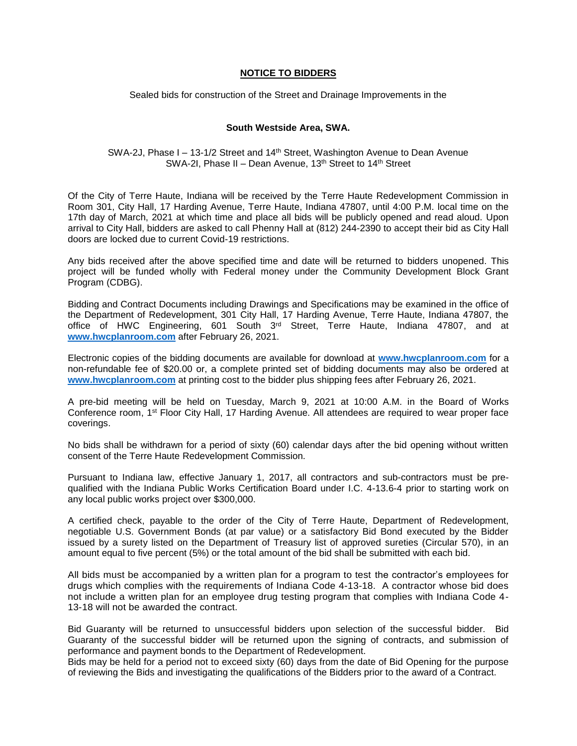## **NOTICE TO BIDDERS**

Sealed bids for construction of the Street and Drainage Improvements in the

## **South Westside Area, SWA.**

SWA-2J, Phase I – 13-1/2 Street and 14th Street, Washington Avenue to Dean Avenue SWA-2I, Phase II – Dean Avenue, 13th Street to 14th Street

Of the City of Terre Haute, Indiana will be received by the Terre Haute Redevelopment Commission in Room 301, City Hall, 17 Harding Avenue, Terre Haute, Indiana 47807, until 4:00 P.M. local time on the 17th day of March, 2021 at which time and place all bids will be publicly opened and read aloud. Upon arrival to City Hall, bidders are asked to call Phenny Hall at (812) 244-2390 to accept their bid as City Hall doors are locked due to current Covid-19 restrictions.

Any bids received after the above specified time and date will be returned to bidders unopened. This project will be funded wholly with Federal money under the Community Development Block Grant Program (CDBG).

Bidding and Contract Documents including Drawings and Specifications may be examined in the office of the Department of Redevelopment, 301 City Hall, 17 Harding Avenue, Terre Haute, Indiana 47807, the office of HWC Engineering, 601 South 3<sup>rd</sup> Street, Terre Haute, Indiana 47807, and at **[www.hwcplanroom.com](http://www.hwcplanroom.com/)** after February 26, 2021.

Electronic copies of the bidding documents are available for download at **[www.hwcplanroom.com](http://www.hwcplanroom.com/)** for a non-refundable fee of \$20.00 or, a complete printed set of bidding documents may also be ordered at **[www.hwcplanroom.com](http://www.hwcplanroom.com/)** at printing cost to the bidder plus shipping fees after February 26, 2021.

A pre-bid meeting will be held on Tuesday, March 9, 2021 at 10:00 A.M. in the Board of Works Conference room, 1<sup>st</sup> Floor City Hall, 17 Harding Avenue. All attendees are required to wear proper face coverings.

No bids shall be withdrawn for a period of sixty (60) calendar days after the bid opening without written consent of the Terre Haute Redevelopment Commission.

Pursuant to Indiana law, effective January 1, 2017, all contractors and sub-contractors must be prequalified with the Indiana Public Works Certification Board under I.C. 4-13.6-4 prior to starting work on any local public works project over \$300,000.

A certified check, payable to the order of the City of Terre Haute, Department of Redevelopment, negotiable U.S. Government Bonds (at par value) or a satisfactory Bid Bond executed by the Bidder issued by a surety listed on the Department of Treasury list of approved sureties (Circular 570), in an amount equal to five percent (5%) or the total amount of the bid shall be submitted with each bid.

All bids must be accompanied by a written plan for a program to test the contractor's employees for drugs which complies with the requirements of Indiana Code 4-13-18. A contractor whose bid does not include a written plan for an employee drug testing program that complies with Indiana Code 4- 13-18 will not be awarded the contract.

Bid Guaranty will be returned to unsuccessful bidders upon selection of the successful bidder. Bid Guaranty of the successful bidder will be returned upon the signing of contracts, and submission of performance and payment bonds to the Department of Redevelopment.

Bids may be held for a period not to exceed sixty (60) days from the date of Bid Opening for the purpose of reviewing the Bids and investigating the qualifications of the Bidders prior to the award of a Contract.